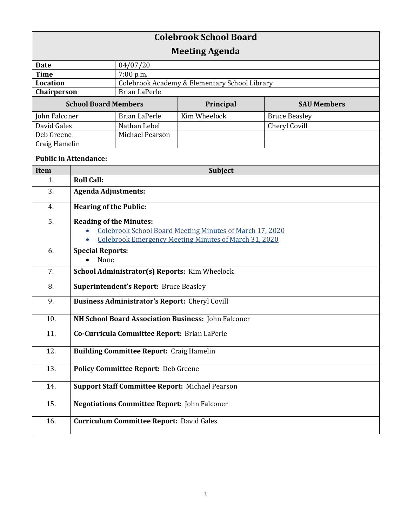| <b>Colebrook School Board</b> |                                                                           |                                                 |              |                      |  |
|-------------------------------|---------------------------------------------------------------------------|-------------------------------------------------|--------------|----------------------|--|
| <b>Meeting Agenda</b>         |                                                                           |                                                 |              |                      |  |
| <b>Date</b>                   |                                                                           | 04/07/20                                        |              |                      |  |
| <b>Time</b>                   |                                                                           | $7:00$ p.m.                                     |              |                      |  |
| <b>Location</b>               |                                                                           | Colebrook Academy & Elementary School Library   |              |                      |  |
| Chairperson                   |                                                                           | <b>Brian LaPerle</b>                            |              |                      |  |
| <b>School Board Members</b>   |                                                                           |                                                 | Principal    | <b>SAU Members</b>   |  |
| John Falconer                 |                                                                           | <b>Brian LaPerle</b>                            | Kim Wheelock | <b>Bruce Beasley</b> |  |
| David Gales                   |                                                                           | Nathan Lebel                                    |              | <b>Cheryl Covill</b> |  |
| Deb Greene                    |                                                                           | Michael Pearson                                 |              |                      |  |
| Craig Hamelin                 |                                                                           |                                                 |              |                      |  |
| <b>Public in Attendance:</b>  |                                                                           |                                                 |              |                      |  |
| <b>Item</b>                   | <b>Subject</b>                                                            |                                                 |              |                      |  |
| 1.                            | <b>Roll Call:</b>                                                         |                                                 |              |                      |  |
| 3.                            | <b>Agenda Adjustments:</b>                                                |                                                 |              |                      |  |
| 4.                            | <b>Hearing of the Public:</b>                                             |                                                 |              |                      |  |
| 5.                            | <b>Reading of the Minutes:</b>                                            |                                                 |              |                      |  |
|                               | Colebrook School Board Meeting Minutes of March 17, 2020                  |                                                 |              |                      |  |
|                               | <b>Colebrook Emergency Meeting Minutes of March 31, 2020</b><br>$\bullet$ |                                                 |              |                      |  |
| 6.                            | <b>Special Reports:</b><br>None                                           |                                                 |              |                      |  |
| 7.                            | School Administrator(s) Reports: Kim Wheelock                             |                                                 |              |                      |  |
| 8.                            | <b>Superintendent's Report: Bruce Beasley</b>                             |                                                 |              |                      |  |
| 9.                            | <b>Business Administrator's Report:</b> Cheryl Covill                     |                                                 |              |                      |  |
| 10.                           | NH School Board Association Business: John Falconer                       |                                                 |              |                      |  |
| 11.                           | Co-Curricula Committee Report: Brian LaPerle                              |                                                 |              |                      |  |
| 12.                           | <b>Building Committee Report: Craig Hamelin</b>                           |                                                 |              |                      |  |
| 13.                           | <b>Policy Committee Report: Deb Greene</b>                                |                                                 |              |                      |  |
| 14.                           | <b>Support Staff Committee Report: Michael Pearson</b>                    |                                                 |              |                      |  |
| 15.                           | <b>Negotiations Committee Report: John Falconer</b>                       |                                                 |              |                      |  |
|                               |                                                                           |                                                 |              |                      |  |
| 16.                           |                                                                           | <b>Curriculum Committee Report: David Gales</b> |              |                      |  |